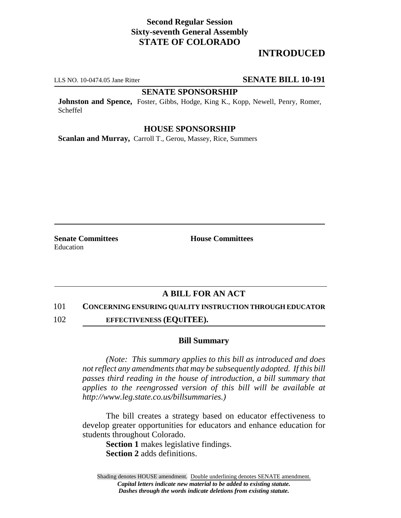# **Second Regular Session Sixty-seventh General Assembly STATE OF COLORADO**

# **INTRODUCED**

#### LLS NO. 10-0474.05 Jane Ritter **SENATE BILL 10-191**

### **SENATE SPONSORSHIP**

**Johnston and Spence,** Foster, Gibbs, Hodge, King K., Kopp, Newell, Penry, Romer, Scheffel

### **HOUSE SPONSORSHIP**

**Scanlan and Murray,** Carroll T., Gerou, Massey, Rice, Summers

**Senate Committees House Committees** Education

## **A BILL FOR AN ACT**

101 **CONCERNING ENSURING QUALITY INSTRUCTION THROUGH EDUCATOR**

102 **EFFECTIVENESS (EQUITEE).**

#### **Bill Summary**

*(Note: This summary applies to this bill as introduced and does not reflect any amendments that may be subsequently adopted. If this bill passes third reading in the house of introduction, a bill summary that applies to the reengrossed version of this bill will be available at http://www.leg.state.co.us/billsummaries.)*

The bill creates a strategy based on educator effectiveness to develop greater opportunities for educators and enhance education for students throughout Colorado.

**Section 1** makes legislative findings. **Section 2** adds definitions.

Shading denotes HOUSE amendment. Double underlining denotes SENATE amendment. *Capital letters indicate new material to be added to existing statute. Dashes through the words indicate deletions from existing statute.*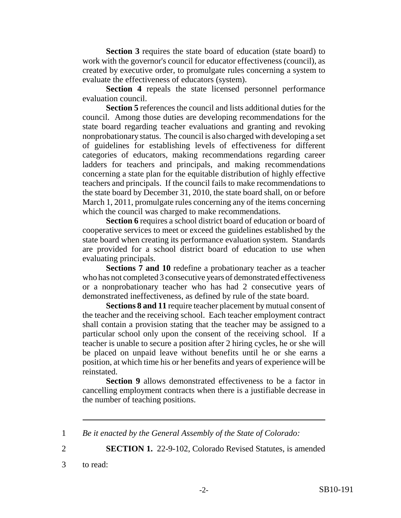**Section 3** requires the state board of education (state board) to work with the governor's council for educator effectiveness (council), as created by executive order, to promulgate rules concerning a system to evaluate the effectiveness of educators (system).

**Section 4** repeals the state licensed personnel performance evaluation council.

**Section 5** references the council and lists additional duties for the council. Among those duties are developing recommendations for the state board regarding teacher evaluations and granting and revoking nonprobationary status. The council is also charged with developing a set of guidelines for establishing levels of effectiveness for different categories of educators, making recommendations regarding career ladders for teachers and principals, and making recommendations concerning a state plan for the equitable distribution of highly effective teachers and principals. If the council fails to make recommendations to the state board by December 31, 2010, the state board shall, on or before March 1, 2011, promulgate rules concerning any of the items concerning which the council was charged to make recommendations.

**Section 6** requires a school district board of education or board of cooperative services to meet or exceed the guidelines established by the state board when creating its performance evaluation system. Standards are provided for a school district board of education to use when evaluating principals.

**Sections 7 and 10** redefine a probationary teacher as a teacher who has not completed 3 consecutive years of demonstrated effectiveness or a nonprobationary teacher who has had 2 consecutive years of demonstrated ineffectiveness, as defined by rule of the state board.

**Sections 8 and 11** require teacher placement by mutual consent of the teacher and the receiving school. Each teacher employment contract shall contain a provision stating that the teacher may be assigned to a particular school only upon the consent of the receiving school. If a teacher is unable to secure a position after 2 hiring cycles, he or she will be placed on unpaid leave without benefits until he or she earns a position, at which time his or her benefits and years of experience will be reinstated.

**Section 9** allows demonstrated effectiveness to be a factor in cancelling employment contracts when there is a justifiable decrease in the number of teaching positions.

1 *Be it enacted by the General Assembly of the State of Colorado:*

2 **SECTION 1.** 22-9-102, Colorado Revised Statutes, is amended

3 to read: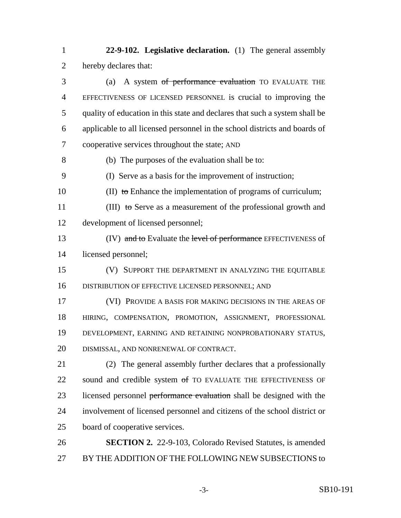**22-9-102. Legislative declaration.** (1) The general assembly hereby declares that:

 (a) A system of performance evaluation TO EVALUATE THE EFFECTIVENESS OF LICENSED PERSONNEL is crucial to improving the quality of education in this state and declares that such a system shall be applicable to all licensed personnel in the school districts and boards of cooperative services throughout the state; AND

(b) The purposes of the evaluation shall be to:

(I) Serve as a basis for the improvement of instruction;

10 (II) to Enhance the implementation of programs of curriculum;

11 (III) to Serve as a measurement of the professional growth and development of licensed personnel;

13 (IV) and to Evaluate the level of performance EFFECTIVENESS of licensed personnel;

 (V) SUPPORT THE DEPARTMENT IN ANALYZING THE EQUITABLE DISTRIBUTION OF EFFECTIVE LICENSED PERSONNEL; AND

 (VI) PROVIDE A BASIS FOR MAKING DECISIONS IN THE AREAS OF HIRING, COMPENSATION, PROMOTION, ASSIGNMENT, PROFESSIONAL DEVELOPMENT, EARNING AND RETAINING NONPROBATIONARY STATUS, DISMISSAL, AND NONRENEWAL OF CONTRACT.

 (2) The general assembly further declares that a professionally 22 sound and credible system of TO EVALUATE THE EFFECTIVENESS OF 23 licensed personnel performance evaluation shall be designed with the involvement of licensed personnel and citizens of the school district or board of cooperative services.

 **SECTION 2.** 22-9-103, Colorado Revised Statutes, is amended BY THE ADDITION OF THE FOLLOWING NEW SUBSECTIONS to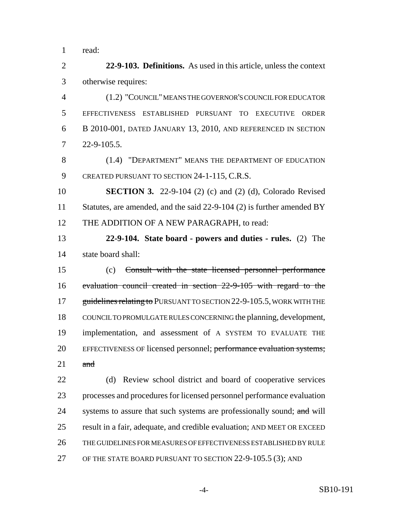read:

 **22-9-103. Definitions.** As used in this article, unless the context otherwise requires:

 (1.2) "COUNCIL" MEANS THE GOVERNOR'S COUNCIL FOR EDUCATOR EFFECTIVENESS ESTABLISHED PURSUANT TO EXECUTIVE ORDER B 2010-001, DATED JANUARY 13, 2010, AND REFERENCED IN SECTION 22-9-105.5.

 (1.4) "DEPARTMENT" MEANS THE DEPARTMENT OF EDUCATION 9 CREATED PURSUANT TO SECTION 24-1-115, C.R.S.

 **SECTION 3.** 22-9-104 (2) (c) and (2) (d), Colorado Revised 11 Statutes, are amended, and the said 22-9-104 (2) is further amended BY 12 THE ADDITION OF A NEW PARAGRAPH, to read:

 **22-9-104. State board - powers and duties - rules.** (2) The state board shall:

 (c) Consult with the state licensed personnel performance evaluation council created in section 22-9-105 with regard to the 17 guidelines relating to PURSUANT TO SECTION 22-9-105.5, WORK WITH THE COUNCIL TO PROMULGATE RULES CONCERNING the planning, development, implementation, and assessment of A SYSTEM TO EVALUATE THE 20 EFFECTIVENESS OF licensed personnel; performance evaluation systems; and

 (d) Review school district and board of cooperative services processes and procedures for licensed personnel performance evaluation 24 systems to assure that such systems are professionally sound; and will result in a fair, adequate, and credible evaluation; AND MEET OR EXCEED THE GUIDELINES FOR MEASURES OF EFFECTIVENESS ESTABLISHED BY RULE 27 OF THE STATE BOARD PURSUANT TO SECTION 22-9-105.5 (3); AND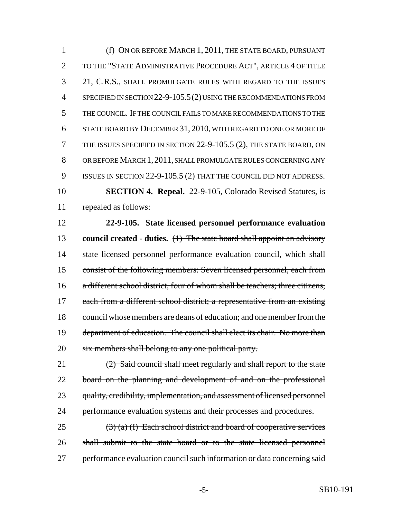(f) ON OR BEFORE MARCH 1, 2011, THE STATE BOARD, PURSUANT TO THE "STATE ADMINISTRATIVE PROCEDURE ACT", ARTICLE 4 OF TITLE 21, C.R.S., SHALL PROMULGATE RULES WITH REGARD TO THE ISSUES SPECIFIED IN SECTION 22-9-105.5(2) USING THE RECOMMENDATIONS FROM THE COUNCIL. IF THE COUNCIL FAILS TO MAKE RECOMMENDATIONS TO THE STATE BOARD BY DECEMBER 31, 2010, WITH REGARD TO ONE OR MORE OF THE ISSUES SPECIFIED IN SECTION 22-9-105.5 (2), THE STATE BOARD, ON OR BEFORE MARCH 1,2011, SHALL PROMULGATE RULES CONCERNING ANY 9 ISSUES IN SECTION 22-9-105.5 (2) THAT THE COUNCIL DID NOT ADDRESS. **SECTION 4. Repeal.** 22-9-105, Colorado Revised Statutes, is repealed as follows:

 **22-9-105. State licensed personnel performance evaluation council created - duties.** (1) The state board shall appoint an advisory 14 state licensed personnel performance evaluation council, which shall consist of the following members: Seven licensed personnel, each from a different school district, four of whom shall be teachers; three citizens, 17 each from a different school district; a representative from an existing council whose members are deans of education; and one member from the department of education. The council shall elect its chair. No more than 20 six members shall belong to any one political party.

 (2) Said council shall meet regularly and shall report to the state 22 board on the planning and development of and on the professional 23 quality, credibility, implementation, and assessment of licensed personnel 24 performance evaluation systems and their processes and procedures.

25  $(3)$  (a) (I) Each school district and board of cooperative services shall submit to the state board or to the state licensed personnel 27 performance evaluation council such information or data concerning said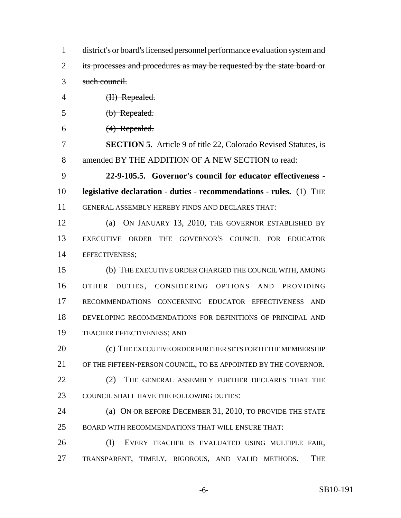| $\mathbf{1}$   | district's or board's licensed personnel performance evaluation system and |
|----------------|----------------------------------------------------------------------------|
| $\overline{2}$ | its processes and procedures as may be requested by the state board or     |
| 3              | such council.                                                              |
| $\overline{4}$ | (II) Repealed.                                                             |
| 5              | (b) Repealed.                                                              |
| 6              | $(4)$ Repealed.                                                            |
| 7              | <b>SECTION 5.</b> Article 9 of title 22, Colorado Revised Statutes, is     |
| 8              | amended BY THE ADDITION OF A NEW SECTION to read:                          |
| 9              | 22-9-105.5. Governor's council for educator effectiveness -                |
| 10             | legislative declaration - duties - recommendations - rules. (1) THE        |
| 11             | GENERAL ASSEMBLY HEREBY FINDS AND DECLARES THAT:                           |
| 12             | ON JANUARY 13, 2010, THE GOVERNOR ESTABLISHED BY<br>(a)                    |
| 13             | EXECUTIVE ORDER THE GOVERNOR'S COUNCIL FOR EDUCATOR                        |
| 14             | EFFECTIVENESS;                                                             |
| 15             | (b) THE EXECUTIVE ORDER CHARGED THE COUNCIL WITH, AMONG                    |
| 16             | OTHER DUTIES, CONSIDERING OPTIONS<br><b>AND</b><br>PROVIDING               |
| 17             | RECOMMENDATIONS CONCERNING EDUCATOR EFFECTIVENESS<br><b>AND</b>            |
| 18             | DEVELOPING RECOMMENDATIONS FOR DEFINITIONS OF PRINCIPAL AND                |
| 19             | TEACHER EFFECTIVENESS; AND                                                 |
| 20             | (c) THE EXECUTIVE ORDER FURTHER SETS FORTH THE MEMBERSHIP                  |
| 21             | OF THE FIFTEEN-PERSON COUNCIL, TO BE APPOINTED BY THE GOVERNOR.            |
| 22             | (2)<br>THE GENERAL ASSEMBLY FURTHER DECLARES THAT THE                      |
| 23             | COUNCIL SHALL HAVE THE FOLLOWING DUTIES:                                   |
| 24             | (a) ON OR BEFORE DECEMBER 31, 2010, TO PROVIDE THE STATE                   |
| 25             | BOARD WITH RECOMMENDATIONS THAT WILL ENSURE THAT:                          |
| 26             | (I)<br>EVERY TEACHER IS EVALUATED USING MULTIPLE FAIR,                     |
| 27             | TRANSPARENT, TIMELY, RIGOROUS, AND VALID METHODS.<br>THE                   |
|                |                                                                            |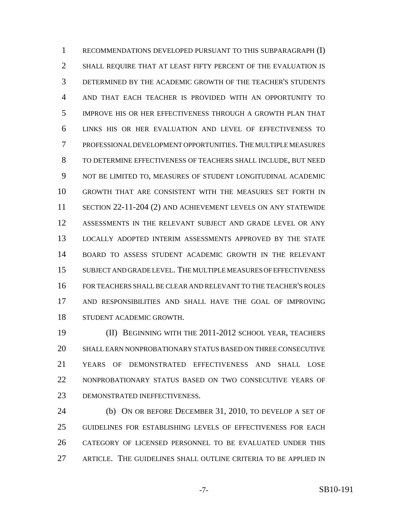RECOMMENDATIONS DEVELOPED PURSUANT TO THIS SUBPARAGRAPH (I) SHALL REQUIRE THAT AT LEAST FIFTY PERCENT OF THE EVALUATION IS DETERMINED BY THE ACADEMIC GROWTH OF THE TEACHER'S STUDENTS AND THAT EACH TEACHER IS PROVIDED WITH AN OPPORTUNITY TO IMPROVE HIS OR HER EFFECTIVENESS THROUGH A GROWTH PLAN THAT LINKS HIS OR HER EVALUATION AND LEVEL OF EFFECTIVENESS TO PROFESSIONAL DEVELOPMENT OPPORTUNITIES. THE MULTIPLE MEASURES TO DETERMINE EFFECTIVENESS OF TEACHERS SHALL INCLUDE, BUT NEED NOT BE LIMITED TO, MEASURES OF STUDENT LONGITUDINAL ACADEMIC GROWTH THAT ARE CONSISTENT WITH THE MEASURES SET FORTH IN SECTION 22-11-204 (2) AND ACHIEVEMENT LEVELS ON ANY STATEWIDE ASSESSMENTS IN THE RELEVANT SUBJECT AND GRADE LEVEL OR ANY LOCALLY ADOPTED INTERIM ASSESSMENTS APPROVED BY THE STATE BOARD TO ASSESS STUDENT ACADEMIC GROWTH IN THE RELEVANT SUBJECT AND GRADE LEVEL. THE MULTIPLE MEASURES OF EFFECTIVENESS FOR TEACHERS SHALL BE CLEAR AND RELEVANT TO THE TEACHER'S ROLES AND RESPONSIBILITIES AND SHALL HAVE THE GOAL OF IMPROVING STUDENT ACADEMIC GROWTH.

 (II) BEGINNING WITH THE 2011-2012 SCHOOL YEAR, TEACHERS SHALL EARN NONPROBATIONARY STATUS BASED ON THREE CONSECUTIVE YEARS OF DEMONSTRATED EFFECTIVENESS AND SHALL LOSE NONPROBATIONARY STATUS BASED ON TWO CONSECUTIVE YEARS OF DEMONSTRATED INEFFECTIVENESS.

 (b) ON OR BEFORE DECEMBER 31, 2010, TO DEVELOP A SET OF GUIDELINES FOR ESTABLISHING LEVELS OF EFFECTIVENESS FOR EACH CATEGORY OF LICENSED PERSONNEL TO BE EVALUATED UNDER THIS ARTICLE. THE GUIDELINES SHALL OUTLINE CRITERIA TO BE APPLIED IN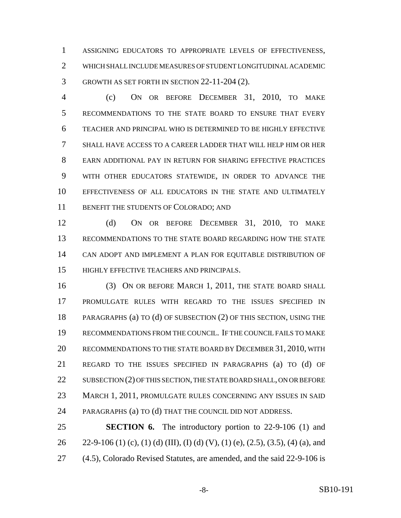ASSIGNING EDUCATORS TO APPROPRIATE LEVELS OF EFFECTIVENESS, WHICH SHALL INCLUDE MEASURES OF STUDENT LONGITUDINAL ACADEMIC GROWTH AS SET FORTH IN SECTION 22-11-204 (2).

 (c) ON OR BEFORE DECEMBER 31, 2010, TO MAKE RECOMMENDATIONS TO THE STATE BOARD TO ENSURE THAT EVERY TEACHER AND PRINCIPAL WHO IS DETERMINED TO BE HIGHLY EFFECTIVE SHALL HAVE ACCESS TO A CAREER LADDER THAT WILL HELP HIM OR HER EARN ADDITIONAL PAY IN RETURN FOR SHARING EFFECTIVE PRACTICES WITH OTHER EDUCATORS STATEWIDE, IN ORDER TO ADVANCE THE EFFECTIVENESS OF ALL EDUCATORS IN THE STATE AND ULTIMATELY 11 BENEFIT THE STUDENTS OF COLORADO; AND

 (d) ON OR BEFORE DECEMBER 31, 2010, TO MAKE RECOMMENDATIONS TO THE STATE BOARD REGARDING HOW THE STATE CAN ADOPT AND IMPLEMENT A PLAN FOR EQUITABLE DISTRIBUTION OF HIGHLY EFFECTIVE TEACHERS AND PRINCIPALS.

 (3) ON OR BEFORE MARCH 1, 2011, THE STATE BOARD SHALL PROMULGATE RULES WITH REGARD TO THE ISSUES SPECIFIED IN PARAGRAPHS (a) TO (d) OF SUBSECTION (2) OF THIS SECTION, USING THE RECOMMENDATIONS FROM THE COUNCIL. IF THE COUNCIL FAILS TO MAKE RECOMMENDATIONS TO THE STATE BOARD BY DECEMBER 31, 2010, WITH REGARD TO THE ISSUES SPECIFIED IN PARAGRAPHS (a) TO (d) OF 22 SUBSECTION (2) OF THIS SECTION, THE STATE BOARD SHALL, ON OR BEFORE MARCH 1, 2011, PROMULGATE RULES CONCERNING ANY ISSUES IN SAID PARAGRAPHS (a) TO (d) THAT THE COUNCIL DID NOT ADDRESS.

 **SECTION 6.** The introductory portion to 22-9-106 (1) and 26 22-9-106 (1) (c), (1) (d) (III), (I) (d) (V), (1) (e), (2.5), (3.5), (4) (a), and (4.5), Colorado Revised Statutes, are amended, and the said 22-9-106 is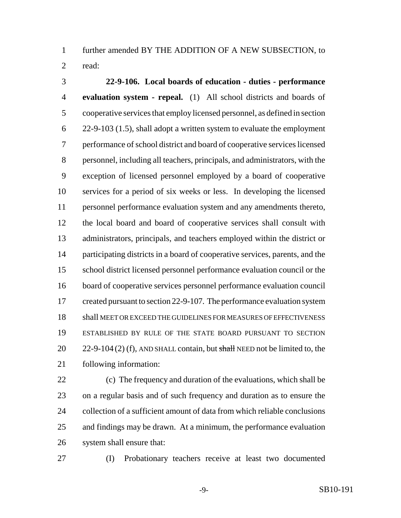further amended BY THE ADDITION OF A NEW SUBSECTION, to read:

 **22-9-106. Local boards of education - duties - performance evaluation system - repeal.** (1) All school districts and boards of cooperative services that employ licensed personnel, as defined in section 22-9-103 (1.5), shall adopt a written system to evaluate the employment performance of school district and board of cooperative services licensed personnel, including all teachers, principals, and administrators, with the exception of licensed personnel employed by a board of cooperative services for a period of six weeks or less. In developing the licensed personnel performance evaluation system and any amendments thereto, the local board and board of cooperative services shall consult with administrators, principals, and teachers employed within the district or participating districts in a board of cooperative services, parents, and the school district licensed personnel performance evaluation council or the board of cooperative services personnel performance evaluation council 17 created pursuant to section 22-9-107. The performance evaluation system shall MEET OR EXCEED THE GUIDELINES FOR MEASURES OF EFFECTIVENESS ESTABLISHED BY RULE OF THE STATE BOARD PURSUANT TO SECTION 20 22-9-104 (2) (f), AND SHALL contain, but shall NEED not be limited to, the following information:

 (c) The frequency and duration of the evaluations, which shall be on a regular basis and of such frequency and duration as to ensure the collection of a sufficient amount of data from which reliable conclusions and findings may be drawn. At a minimum, the performance evaluation system shall ensure that:

(I) Probationary teachers receive at least two documented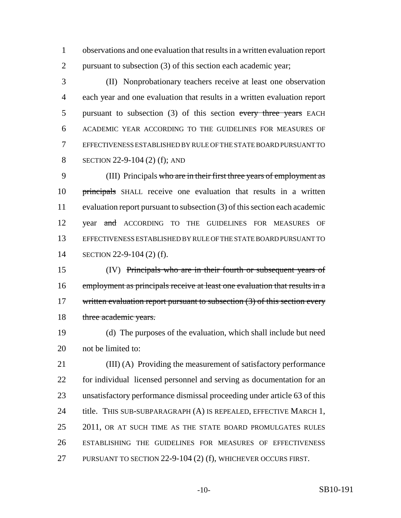observations and one evaluation that results in a written evaluation report pursuant to subsection (3) of this section each academic year;

 (II) Nonprobationary teachers receive at least one observation each year and one evaluation that results in a written evaluation report 5 pursuant to subsection (3) of this section every three years EACH ACADEMIC YEAR ACCORDING TO THE GUIDELINES FOR MEASURES OF EFFECTIVENESS ESTABLISHED BY RULE OF THE STATE BOARD PURSUANT TO SECTION 22-9-104 (2) (f); AND

 (III) Principals who are in their first three years of employment as 10 principals SHALL receive one evaluation that results in a written evaluation report pursuant to subsection (3) of this section each academic 12 year and ACCORDING TO THE GUIDELINES FOR MEASURES OF EFFECTIVENESS ESTABLISHED BY RULE OF THE STATE BOARD PURSUANT TO SECTION 22-9-104 (2) (f).

 (IV) Principals who are in their fourth or subsequent years of employment as principals receive at least one evaluation that results in a 17 written evaluation report pursuant to subsection (3) of this section every 18 three academic years.

 (d) The purposes of the evaluation, which shall include but need not be limited to:

 (III) (A) Providing the measurement of satisfactory performance for individual licensed personnel and serving as documentation for an unsatisfactory performance dismissal proceeding under article 63 of this 24 title. THIS SUB-SUBPARAGRAPH (A) IS REPEALED, EFFECTIVE MARCH 1, 25 2011, OR AT SUCH TIME AS THE STATE BOARD PROMULGATES RULES ESTABLISHING THE GUIDELINES FOR MEASURES OF EFFECTIVENESS PURSUANT TO SECTION 22-9-104 (2) (f), WHICHEVER OCCURS FIRST.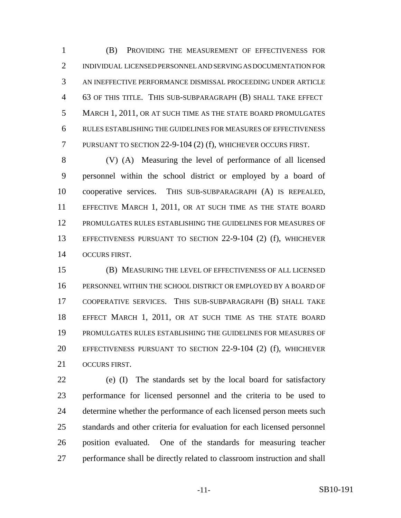(B) PROVIDING THE MEASUREMENT OF EFFECTIVENESS FOR INDIVIDUAL LICENSED PERSONNEL AND SERVING AS DOCUMENTATION FOR AN INEFFECTIVE PERFORMANCE DISMISSAL PROCEEDING UNDER ARTICLE 63 OF THIS TITLE. THIS SUB-SUBPARAGRAPH (B) SHALL TAKE EFFECT MARCH 1, 2011, OR AT SUCH TIME AS THE STATE BOARD PROMULGATES RULES ESTABLISHING THE GUIDELINES FOR MEASURES OF EFFECTIVENESS PURSUANT TO SECTION 22-9-104 (2) (f), WHICHEVER OCCURS FIRST.

 (V) (A) Measuring the level of performance of all licensed personnel within the school district or employed by a board of cooperative services. THIS SUB-SUBPARAGRAPH (A) IS REPEALED, EFFECTIVE MARCH 1, 2011, OR AT SUCH TIME AS THE STATE BOARD PROMULGATES RULES ESTABLISHING THE GUIDELINES FOR MEASURES OF EFFECTIVENESS PURSUANT TO SECTION 22-9-104 (2) (f), WHICHEVER OCCURS FIRST.

 (B) MEASURING THE LEVEL OF EFFECTIVENESS OF ALL LICENSED PERSONNEL WITHIN THE SCHOOL DISTRICT OR EMPLOYED BY A BOARD OF COOPERATIVE SERVICES. THIS SUB-SUBPARAGRAPH (B) SHALL TAKE EFFECT MARCH 1, 2011, OR AT SUCH TIME AS THE STATE BOARD PROMULGATES RULES ESTABLISHING THE GUIDELINES FOR MEASURES OF EFFECTIVENESS PURSUANT TO SECTION 22-9-104 (2) (f), WHICHEVER OCCURS FIRST.

 (e) (I) The standards set by the local board for satisfactory performance for licensed personnel and the criteria to be used to 24 determine whether the performance of each licensed person meets such standards and other criteria for evaluation for each licensed personnel position evaluated. One of the standards for measuring teacher performance shall be directly related to classroom instruction and shall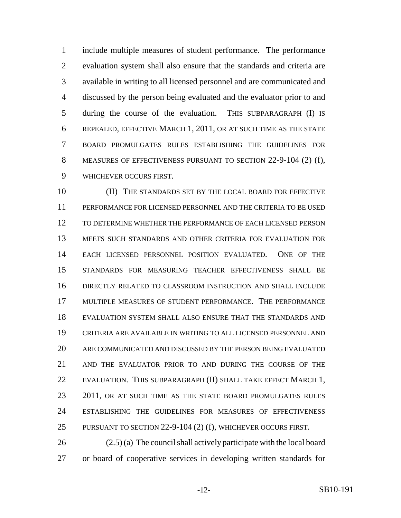include multiple measures of student performance. The performance evaluation system shall also ensure that the standards and criteria are available in writing to all licensed personnel and are communicated and discussed by the person being evaluated and the evaluator prior to and during the course of the evaluation. THIS SUBPARAGRAPH (I) IS REPEALED, EFFECTIVE MARCH 1, 2011, OR AT SUCH TIME AS THE STATE BOARD PROMULGATES RULES ESTABLISHING THE GUIDELINES FOR MEASURES OF EFFECTIVENESS PURSUANT TO SECTION 22-9-104 (2) (f), WHICHEVER OCCURS FIRST.

 (II) THE STANDARDS SET BY THE LOCAL BOARD FOR EFFECTIVE PERFORMANCE FOR LICENSED PERSONNEL AND THE CRITERIA TO BE USED TO DETERMINE WHETHER THE PERFORMANCE OF EACH LICENSED PERSON MEETS SUCH STANDARDS AND OTHER CRITERIA FOR EVALUATION FOR EACH LICENSED PERSONNEL POSITION EVALUATED. ONE OF THE STANDARDS FOR MEASURING TEACHER EFFECTIVENESS SHALL BE DIRECTLY RELATED TO CLASSROOM INSTRUCTION AND SHALL INCLUDE MULTIPLE MEASURES OF STUDENT PERFORMANCE. THE PERFORMANCE EVALUATION SYSTEM SHALL ALSO ENSURE THAT THE STANDARDS AND CRITERIA ARE AVAILABLE IN WRITING TO ALL LICENSED PERSONNEL AND ARE COMMUNICATED AND DISCUSSED BY THE PERSON BEING EVALUATED AND THE EVALUATOR PRIOR TO AND DURING THE COURSE OF THE 22 EVALUATION. THIS SUBPARAGRAPH (II) SHALL TAKE EFFECT MARCH 1, 23 2011, OR AT SUCH TIME AS THE STATE BOARD PROMULGATES RULES ESTABLISHING THE GUIDELINES FOR MEASURES OF EFFECTIVENESS PURSUANT TO SECTION 22-9-104 (2) (f), WHICHEVER OCCURS FIRST.

 (2.5) (a) The council shall actively participate with the local board or board of cooperative services in developing written standards for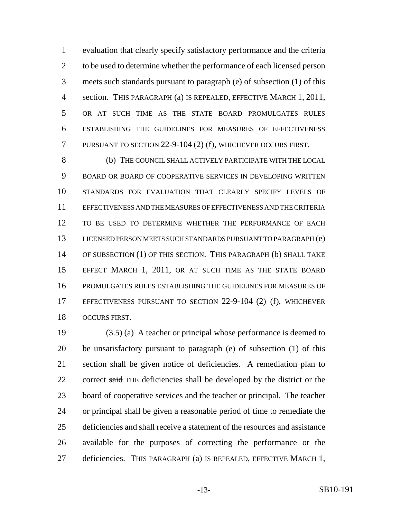evaluation that clearly specify satisfactory performance and the criteria to be used to determine whether the performance of each licensed person meets such standards pursuant to paragraph (e) of subsection (1) of this 4 section. THIS PARAGRAPH (a) IS REPEALED, EFFECTIVE MARCH 1, 2011, OR AT SUCH TIME AS THE STATE BOARD PROMULGATES RULES ESTABLISHING THE GUIDELINES FOR MEASURES OF EFFECTIVENESS PURSUANT TO SECTION 22-9-104 (2) (f), WHICHEVER OCCURS FIRST.

 (b) THE COUNCIL SHALL ACTIVELY PARTICIPATE WITH THE LOCAL BOARD OR BOARD OF COOPERATIVE SERVICES IN DEVELOPING WRITTEN STANDARDS FOR EVALUATION THAT CLEARLY SPECIFY LEVELS OF EFFECTIVENESS AND THE MEASURES OF EFFECTIVENESS AND THE CRITERIA TO BE USED TO DETERMINE WHETHER THE PERFORMANCE OF EACH LICENSED PERSON MEETS SUCH STANDARDS PURSUANT TO PARAGRAPH (e) OF SUBSECTION (1) OF THIS SECTION. THIS PARAGRAPH (b) SHALL TAKE EFFECT MARCH 1, 2011, OR AT SUCH TIME AS THE STATE BOARD PROMULGATES RULES ESTABLISHING THE GUIDELINES FOR MEASURES OF EFFECTIVENESS PURSUANT TO SECTION 22-9-104 (2) (f), WHICHEVER OCCURS FIRST.

 (3.5) (a) A teacher or principal whose performance is deemed to be unsatisfactory pursuant to paragraph (e) of subsection (1) of this section shall be given notice of deficiencies. A remediation plan to 22 correct said THE deficiencies shall be developed by the district or the board of cooperative services and the teacher or principal. The teacher or principal shall be given a reasonable period of time to remediate the deficiencies and shall receive a statement of the resources and assistance available for the purposes of correcting the performance or the deficiencies. THIS PARAGRAPH (a) IS REPEALED, EFFECTIVE MARCH 1,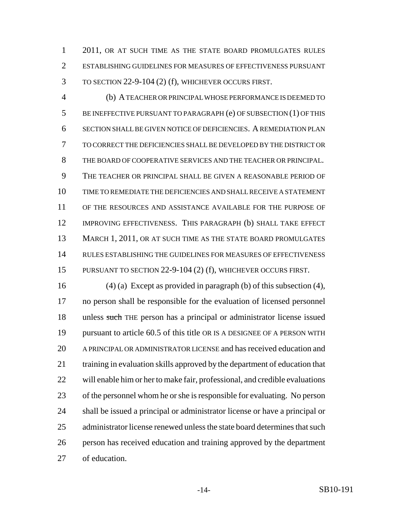2011, OR AT SUCH TIME AS THE STATE BOARD PROMULGATES RULES ESTABLISHING GUIDELINES FOR MEASURES OF EFFECTIVENESS PURSUANT TO SECTION 22-9-104 (2) (f), WHICHEVER OCCURS FIRST.

 (b) A TEACHER OR PRINCIPAL WHOSE PERFORMANCE IS DEEMED TO BE INEFFECTIVE PURSUANT TO PARAGRAPH (e) OF SUBSECTION (1) OF THIS SECTION SHALL BE GIVEN NOTICE OF DEFICIENCIES. A REMEDIATION PLAN TO CORRECT THE DEFICIENCIES SHALL BE DEVELOPED BY THE DISTRICT OR THE BOARD OF COOPERATIVE SERVICES AND THE TEACHER OR PRINCIPAL. THE TEACHER OR PRINCIPAL SHALL BE GIVEN A REASONABLE PERIOD OF TIME TO REMEDIATE THE DEFICIENCIES AND SHALL RECEIVE A STATEMENT OF THE RESOURCES AND ASSISTANCE AVAILABLE FOR THE PURPOSE OF 12 IMPROVING EFFECTIVENESS. THIS PARAGRAPH (b) SHALL TAKE EFFECT 13 MARCH 1, 2011, OR AT SUCH TIME AS THE STATE BOARD PROMULGATES RULES ESTABLISHING THE GUIDELINES FOR MEASURES OF EFFECTIVENESS PURSUANT TO SECTION 22-9-104 (2) (f), WHICHEVER OCCURS FIRST.

 (4) (a) Except as provided in paragraph (b) of this subsection (4), no person shall be responsible for the evaluation of licensed personnel 18 unless such THE person has a principal or administrator license issued pursuant to article 60.5 of this title OR IS A DESIGNEE OF A PERSON WITH A PRINCIPAL OR ADMINISTRATOR LICENSE and has received education and training in evaluation skills approved by the department of education that will enable him or her to make fair, professional, and credible evaluations of the personnel whom he or she is responsible for evaluating. No person shall be issued a principal or administrator license or have a principal or administrator license renewed unless the state board determines that such person has received education and training approved by the department of education.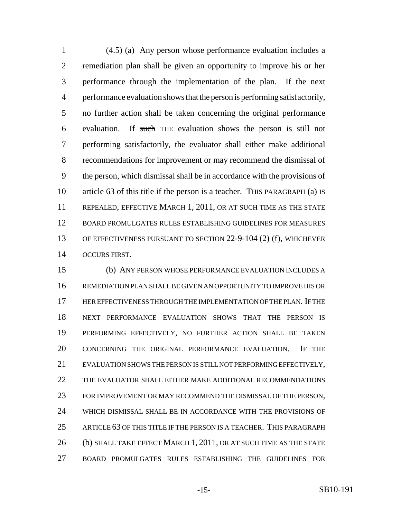(4.5) (a) Any person whose performance evaluation includes a remediation plan shall be given an opportunity to improve his or her performance through the implementation of the plan. If the next performance evaluation shows that the person is performing satisfactorily, no further action shall be taken concerning the original performance evaluation. If such THE evaluation shows the person is still not performing satisfactorily, the evaluator shall either make additional recommendations for improvement or may recommend the dismissal of the person, which dismissal shall be in accordance with the provisions of article 63 of this title if the person is a teacher. THIS PARAGRAPH (a) IS REPEALED, EFFECTIVE MARCH 1, 2011, OR AT SUCH TIME AS THE STATE BOARD PROMULGATES RULES ESTABLISHING GUIDELINES FOR MEASURES OF EFFECTIVENESS PURSUANT TO SECTION 22-9-104 (2) (f), WHICHEVER OCCURS FIRST.

 (b) ANY PERSON WHOSE PERFORMANCE EVALUATION INCLUDES A REMEDIATION PLAN SHALL BE GIVEN AN OPPORTUNITY TO IMPROVE HIS OR HER EFFECTIVENESS THROUGH THE IMPLEMENTATION OF THE PLAN. IF THE NEXT PERFORMANCE EVALUATION SHOWS THAT THE PERSON IS PERFORMING EFFECTIVELY, NO FURTHER ACTION SHALL BE TAKEN CONCERNING THE ORIGINAL PERFORMANCE EVALUATION. IF THE EVALUATION SHOWS THE PERSON IS STILL NOT PERFORMING EFFECTIVELY, THE EVALUATOR SHALL EITHER MAKE ADDITIONAL RECOMMENDATIONS FOR IMPROVEMENT OR MAY RECOMMEND THE DISMISSAL OF THE PERSON, WHICH DISMISSAL SHALL BE IN ACCORDANCE WITH THE PROVISIONS OF ARTICLE 63 OF THIS TITLE IF THE PERSON IS A TEACHER. THIS PARAGRAPH 26 (b) SHALL TAKE EFFECT MARCH 1, 2011, OR AT SUCH TIME AS THE STATE BOARD PROMULGATES RULES ESTABLISHING THE GUIDELINES FOR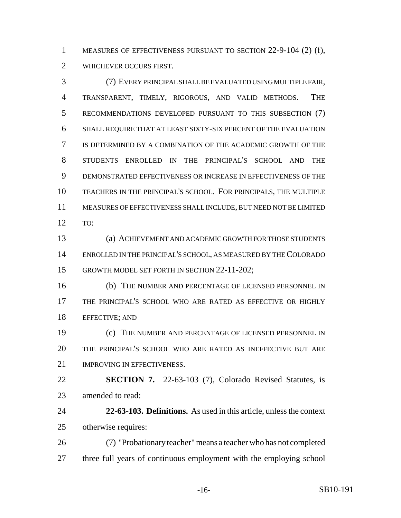MEASURES OF EFFECTIVENESS PURSUANT TO SECTION 22-9-104 (2) (f), WHICHEVER OCCURS FIRST.

 (7) EVERY PRINCIPAL SHALL BE EVALUATED USING MULTIPLE FAIR, TRANSPARENT, TIMELY, RIGOROUS, AND VALID METHODS. THE RECOMMENDATIONS DEVELOPED PURSUANT TO THIS SUBSECTION (7) SHALL REQUIRE THAT AT LEAST SIXTY-SIX PERCENT OF THE EVALUATION IS DETERMINED BY A COMBINATION OF THE ACADEMIC GROWTH OF THE STUDENTS ENROLLED IN THE PRINCIPAL'S SCHOOL AND THE DEMONSTRATED EFFECTIVENESS OR INCREASE IN EFFECTIVENESS OF THE TEACHERS IN THE PRINCIPAL'S SCHOOL. FOR PRINCIPALS, THE MULTIPLE MEASURES OF EFFECTIVENESS SHALL INCLUDE, BUT NEED NOT BE LIMITED TO:

 (a) ACHIEVEMENT AND ACADEMIC GROWTH FOR THOSE STUDENTS ENROLLED IN THE PRINCIPAL'S SCHOOL, AS MEASURED BY THE COLORADO GROWTH MODEL SET FORTH IN SECTION 22-11-202;

 (b) THE NUMBER AND PERCENTAGE OF LICENSED PERSONNEL IN THE PRINCIPAL'S SCHOOL WHO ARE RATED AS EFFECTIVE OR HIGHLY EFFECTIVE; AND

 (c) THE NUMBER AND PERCENTAGE OF LICENSED PERSONNEL IN THE PRINCIPAL'S SCHOOL WHO ARE RATED AS INEFFECTIVE BUT ARE 21 IMPROVING IN EFFECTIVENESS.

 **SECTION 7.** 22-63-103 (7), Colorado Revised Statutes, is amended to read:

 **22-63-103. Definitions.** As used in this article, unless the context otherwise requires:

 (7) "Probationary teacher" means a teacher who has not completed 27 three full years of continuous employment with the employing school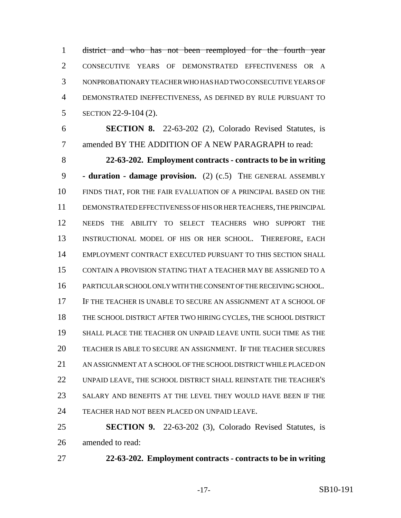district and who has not been reemployed for the fourth year CONSECUTIVE YEARS OF DEMONSTRATED EFFECTIVENESS OR A NONPROBATIONARY TEACHER WHO HAS HAD TWO CONSECUTIVE YEARS OF DEMONSTRATED INEFFECTIVENESS, AS DEFINED BY RULE PURSUANT TO SECTION 22-9-104 (2).

 **SECTION 8.** 22-63-202 (2), Colorado Revised Statutes, is amended BY THE ADDITION OF A NEW PARAGRAPH to read:

 **22-63-202. Employment contracts - contracts to be in writing - duration - damage provision.** (2) (c.5) THE GENERAL ASSEMBLY FINDS THAT, FOR THE FAIR EVALUATION OF A PRINCIPAL BASED ON THE DEMONSTRATED EFFECTIVENESS OF HIS OR HER TEACHERS, THE PRINCIPAL NEEDS THE ABILITY TO SELECT TEACHERS WHO SUPPORT THE INSTRUCTIONAL MODEL OF HIS OR HER SCHOOL. THEREFORE, EACH EMPLOYMENT CONTRACT EXECUTED PURSUANT TO THIS SECTION SHALL CONTAIN A PROVISION STATING THAT A TEACHER MAY BE ASSIGNED TO A PARTICULAR SCHOOL ONLY WITH THE CONSENT OF THE RECEIVING SCHOOL. IF THE TEACHER IS UNABLE TO SECURE AN ASSIGNMENT AT A SCHOOL OF THE SCHOOL DISTRICT AFTER TWO HIRING CYCLES, THE SCHOOL DISTRICT SHALL PLACE THE TEACHER ON UNPAID LEAVE UNTIL SUCH TIME AS THE TEACHER IS ABLE TO SECURE AN ASSIGNMENT. IF THE TEACHER SECURES AN ASSIGNMENT AT A SCHOOL OF THE SCHOOL DISTRICT WHILE PLACED ON UNPAID LEAVE, THE SCHOOL DISTRICT SHALL REINSTATE THE TEACHER'S SALARY AND BENEFITS AT THE LEVEL THEY WOULD HAVE BEEN IF THE TEACHER HAD NOT BEEN PLACED ON UNPAID LEAVE.

 **SECTION 9.** 22-63-202 (3), Colorado Revised Statutes, is amended to read:

**22-63-202. Employment contracts - contracts to be in writing**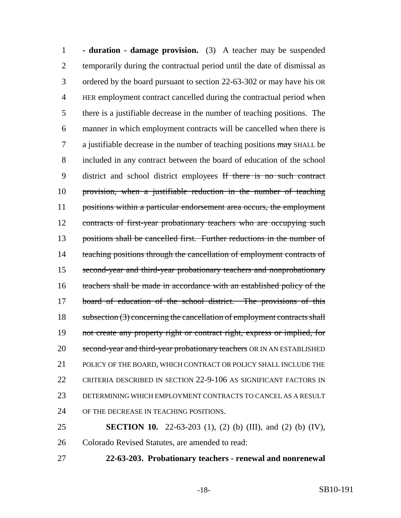**- duration - damage provision.** (3) A teacher may be suspended temporarily during the contractual period until the date of dismissal as ordered by the board pursuant to section 22-63-302 or may have his OR HER employment contract cancelled during the contractual period when there is a justifiable decrease in the number of teaching positions. The manner in which employment contracts will be cancelled when there is 7 a justifiable decrease in the number of teaching positions may SHALL be included in any contract between the board of education of the school district and school district employees If there is no such contract provision, when a justifiable reduction in the number of teaching 11 positions within a particular endorsement area occurs, the employment 12 contracts of first-year probationary teachers who are occupying such positions shall be cancelled first. Further reductions in the number of 14 teaching positions through the cancellation of employment contracts of second-year and third-year probationary teachers and nonprobationary teachers shall be made in accordance with an established policy of the 17 board of education of the school district. The provisions of this 18 subsection (3) concerning the cancellation of employment contracts shall 19 not create any property right or contract right, express or implied, for 20 second-year and third-year probationary teachers OR IN AN ESTABLISHED 21 POLICY OF THE BOARD, WHICH CONTRACT OR POLICY SHALL INCLUDE THE CRITERIA DESCRIBED IN SECTION 22-9-106 AS SIGNIFICANT FACTORS IN DETERMINING WHICH EMPLOYMENT CONTRACTS TO CANCEL AS A RESULT OF THE DECREASE IN TEACHING POSITIONS.

 **SECTION 10.** 22-63-203 (1), (2) (b) (III), and (2) (b) (IV), Colorado Revised Statutes, are amended to read:

**22-63-203. Probationary teachers - renewal and nonrenewal**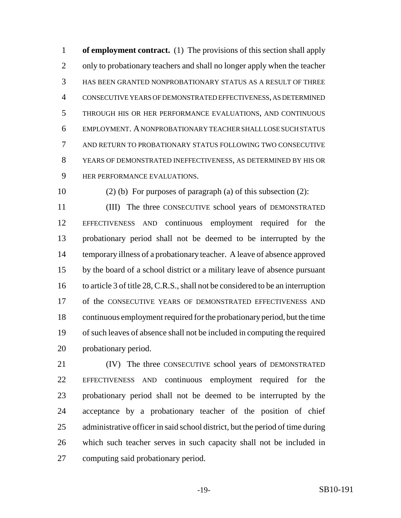**of employment contract.** (1) The provisions of this section shall apply 2 only to probationary teachers and shall no longer apply when the teacher HAS BEEN GRANTED NONPROBATIONARY STATUS AS A RESULT OF THREE CONSECUTIVE YEARS OF DEMONSTRATED EFFECTIVENESS, AS DETERMINED THROUGH HIS OR HER PERFORMANCE EVALUATIONS, AND CONTINUOUS EMPLOYMENT. A NONPROBATIONARY TEACHER SHALL LOSE SUCH STATUS AND RETURN TO PROBATIONARY STATUS FOLLOWING TWO CONSECUTIVE YEARS OF DEMONSTRATED INEFFECTIVENESS, AS DETERMINED BY HIS OR HER PERFORMANCE EVALUATIONS.

10 (2) (b) For purposes of paragraph (a) of this subsection  $(2)$ :

 (III) The three CONSECUTIVE school years of DEMONSTRATED EFFECTIVENESS AND continuous employment required for the probationary period shall not be deemed to be interrupted by the temporary illness of a probationary teacher. A leave of absence approved by the board of a school district or a military leave of absence pursuant 16 to article 3 of title 28, C.R.S., shall not be considered to be an interruption 17 of the CONSECUTIVE YEARS OF DEMONSTRATED EFFECTIVENESS AND continuous employment required for the probationary period, but the time of such leaves of absence shall not be included in computing the required probationary period.

 (IV) The three CONSECUTIVE school years of DEMONSTRATED EFFECTIVENESS AND continuous employment required for the probationary period shall not be deemed to be interrupted by the acceptance by a probationary teacher of the position of chief administrative officer in said school district, but the period of time during which such teacher serves in such capacity shall not be included in computing said probationary period.